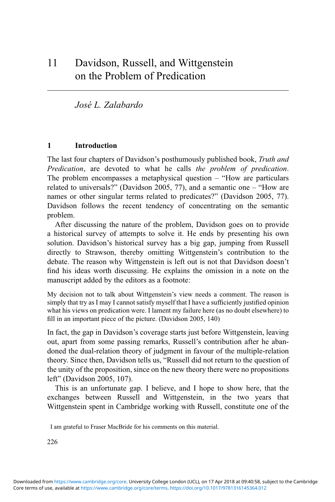# José L. Zalabardo

### 1 Introduction

The last four chapters of Davidson's posthumously published book, Truth and Predication, are devoted to what he calls the problem of predication. The problem encompasses a metaphysical question – "How are particulars related to universals?" (Davidson 2005, 77), and a semantic one – "How are names or other singular terms related to predicates?" (Davidson 2005, 77). Davidson follows the recent tendency of concentrating on the semantic problem.

After discussing the nature of the problem, Davidson goes on to provide a historical survey of attempts to solve it. He ends by presenting his own solution. Davidson's historical survey has a big gap, jumping from Russell directly to Strawson, thereby omitting Wittgenstein's contribution to the debate. The reason why Wittgenstein is left out is not that Davidson doesn't find his ideas worth discussing. He explains the omission in a note on the manuscript added by the editors as a footnote:

My decision not to talk about Wittgenstein's view needs a comment. The reason is simply that try as I may I cannot satisfy myself that I have a sufficiently justified opinion what his views on predication were. I lament my failure here (as no doubt elsewhere) to fill in an important piece of the picture. (Davidson 2005, 140)

In fact, the gap in Davidson's coverage starts just before Wittgenstein, leaving out, apart from some passing remarks, Russell's contribution after he abandoned the dual-relation theory of judgment in favour of the multiple-relation theory. Since then, Davidson tells us, "Russell did not return to the question of the unity of the proposition, since on the new theory there were no propositions left" (Davidson 2005, 107).

This is an unfortunate gap. I believe, and I hope to show here, that the exchanges between Russell and Wittgenstein, in the two years that Wittgenstein spent in Cambridge working with Russell, constitute one of the

I am grateful to Fraser MacBride for his comments on this material.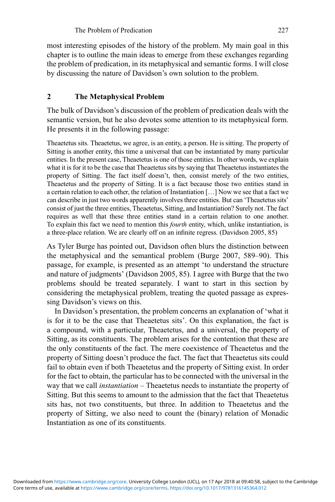most interesting episodes of the history of the problem. My main goal in this chapter is to outline the main ideas to emerge from these exchanges regarding the problem of predication, in its metaphysical and semantic forms. I will close by discussing the nature of Davidson's own solution to the problem.

## 2 The Metaphysical Problem

The bulk of Davidson's discussion of the problem of predication deals with the semantic version, but he also devotes some attention to its metaphysical form. He presents it in the following passage:

Theaetetus sits. Theaetetus, we agree, is an entity, a person. He is sitting. The property of Sitting is another entity, this time a universal that can be instantiated by many particular entities. In the present case, Theaetetus is one of those entities. In other words, we explain what it is for it to be the case that Theaetetus sits by saying that Theaetetus instantiates the property of Sitting. The fact itself doesn't, then, consist merely of the two entities, Theaetetus and the property of Sitting. It is a fact because those two entities stand in a certain relation to each other, the relation of Instantiation […] Now we see that a fact we can describe in just two words apparently involves three entities. But can 'Theaetetus sits' consist of just the three entities, Theaetetus, Sitting, and Instantiation? Surely not. The fact requires as well that these three entities stand in a certain relation to one another. To explain this fact we need to mention this fourth entity, which, unlike instantiation, is a three-place relation. We are clearly off on an infinite regress. (Davidson 2005, 85)

As Tyler Burge has pointed out, Davidson often blurs the distinction between the metaphysical and the semantical problem (Burge 2007, 589–90). This passage, for example, is presented as an attempt 'to understand the structure and nature of judgments' (Davidson 2005, 85). I agree with Burge that the two problems should be treated separately. I want to start in this section by considering the metaphysical problem, treating the quoted passage as expressing Davidson's views on this.

In Davidson's presentation, the problem concerns an explanation of 'what it is for it to be the case that Theaetetus sits'. On this explanation, the fact is a compound, with a particular, Theaetetus, and a universal, the property of Sitting, as its constituents. The problem arises for the contention that these are the only constituents of the fact. The mere coexistence of Theaetetus and the property of Sitting doesn't produce the fact. The fact that Theaetetus sits could fail to obtain even if both Theaetetus and the property of Sitting exist. In order for the fact to obtain, the particular has to be connected with the universal in the way that we call *instantiation* – Theaetetus needs to instantiate the property of Sitting. But this seems to amount to the admission that the fact that Theaetetus sits has, not two constituents, but three. In addition to Theaetetus and the property of Sitting, we also need to count the (binary) relation of Monadic Instantiation as one of its constituents.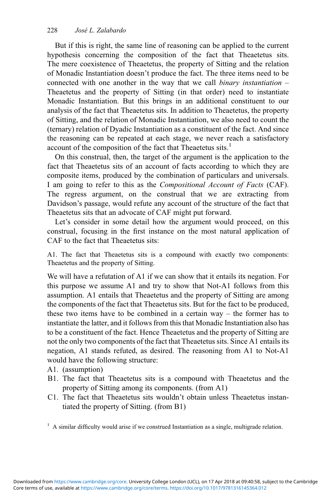But if this is right, the same line of reasoning can be applied to the current hypothesis concerning the composition of the fact that Theaetetus sits. The mere coexistence of Theaetetus, the property of Sitting and the relation of Monadic Instantiation doesn't produce the fact. The three items need to be connected with one another in the way that we call *binary instantiation*  $-$ Theaetetus and the property of Sitting (in that order) need to instantiate Monadic Instantiation. But this brings in an additional constituent to our analysis of the fact that Theaetetus sits. In addition to Theaetetus, the property of Sitting, and the relation of Monadic Instantiation, we also need to count the (ternary) relation of Dyadic Instantiation as a constituent of the fact. And since the reasoning can be repeated at each stage, we never reach a satisfactory account of the composition of the fact that Theaetetus sits.<sup>1</sup>

On this construal, then, the target of the argument is the application to the fact that Theaetetus sits of an account of facts according to which they are composite items, produced by the combination of particulars and universals. I am going to refer to this as the Compositional Account of Facts (CAF). The regress argument, on the construal that we are extracting from Davidson's passage, would refute any account of the structure of the fact that Theaetetus sits that an advocate of CAF might put forward.

Let's consider in some detail how the argument would proceed, on this construal, focusing in the first instance on the most natural application of CAF to the fact that Theaetetus sits:

A1. The fact that Theaetetus sits is a compound with exactly two components: Theaetetus and the property of Sitting.

We will have a refutation of A1 if we can show that it entails its negation. For this purpose we assume A1 and try to show that Not-A1 follows from this assumption. A1 entails that Theaetetus and the property of Sitting are among the components of the fact that Theaetetus sits. But for the fact to be produced, these two items have to be combined in a certain way – the former has to instantiate the latter, and it follows from this that Monadic Instantiation also has to be a constituent of the fact. Hence Theaetetus and the property of Sitting are not the only two components of the fact that Theaetetus sits. Since A1 entails its negation, A1 stands refuted, as desired. The reasoning from A1 to Not-A1 would have the following structure:

- A1. (assumption)
- B1. The fact that Theaetetus sits is a compound with Theaetetus and the property of Sitting among its components. (from A1)
- C1. The fact that Theaetetus sits wouldn't obtain unless Theaetetus instantiated the property of Sitting. (from B1)

 $<sup>1</sup>$  A similar difficulty would arise if we construed Instantiation as a single, multigrade relation.</sup>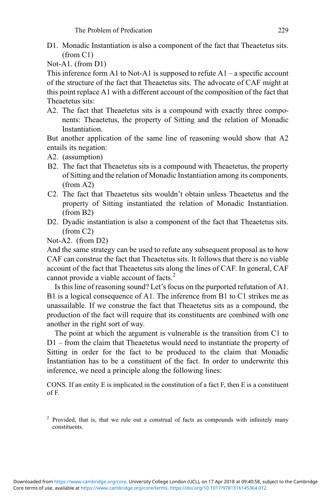- D1. Monadic Instantiation is also a component of the fact that Theaetetus sits. (from C1)
- Not-A1. (from D1)

This inference form A1 to Not-A1 is supposed to refute  $A1 - a$  specific account of the structure of the fact that Theaetetus sits. The advocate of CAF might at this point replace A1 with a different account of the composition of the fact that Theaetetus sits:

A2. The fact that Theaetetus sits is a compound with exactly three components: Theaetetus, the property of Sitting and the relation of Monadic Instantiation.

But another application of the same line of reasoning would show that A2 entails its negation:

- A2. (assumption)
- B2. The fact that Theaetetus sits is a compound with Theaetetus, the property of Sitting and the relation of Monadic Instantiation among its components. (from A2)
- C2. The fact that Theaetetus sits wouldn't obtain unless Theaetetus and the property of Sitting instantiated the relation of Monadic Instantiation. (from B2)
- D2. Dyadic instantiation is also a component of the fact that Theaetetus sits. (from C2)

Not-A2. (from D2)

And the same strategy can be used to refute any subsequent proposal as to how CAF can construe the fact that Theaetetus sits. It follows that there is no viable account of the fact that Theaetetus sits along the lines of CAF. In general, CAF cannot provide a viable account of facts.<sup>2</sup>

Is this line of reasoning sound? Let's focus on the purported refutation of A1. B1 is a logical consequence of A1. The inference from B1 to C1 strikes me as unassailable. If we construe the fact that Theaetetus sits as a compound, the production of the fact will require that its constituents are combined with one another in the right sort of way.

The point at which the argument is vulnerable is the transition from C1 to D1 – from the claim that Theaetetus would need to instantiate the property of Sitting in order for the fact to be produced to the claim that Monadic Instantiation has to be a constituent of the fact. In order to underwrite this inference, we need a principle along the following lines:

CONS. If an entity E is implicated in the constitution of a fact F, then E is a constituent of F.

<sup>&</sup>lt;sup>2</sup> Provided, that is, that we rule out a construal of facts as compounds with infinitely many constituents.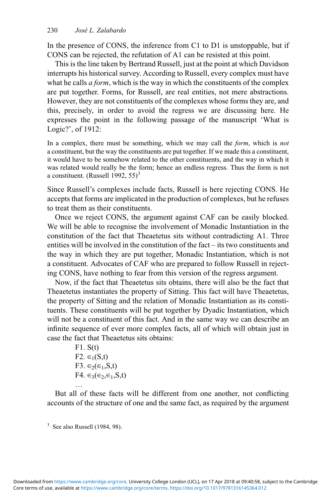In the presence of CONS, the inference from C1 to D1 is unstoppable, but if CONS can be rejected, the refutation of A1 can be resisted at this point.

This is the line taken by Bertrand Russell, just at the point at which Davidson interrupts his historical survey. According to Russell, every complex must have what he calls *a form*, which is the way in which the constituents of the complex are put together. Forms, for Russell, are real entities, not mere abstractions. However, they are not constituents of the complexes whose forms they are, and this, precisely, in order to avoid the regress we are discussing here. He expresses the point in the following passage of the manuscript 'What is Logic?', of 1912:

In a complex, there must be something, which we may call the *form*, which is not a constituent, but the way the constituents are put together. If we made this a constituent, it would have to be somehow related to the other constituents, and the way in which it was related would really be the form; hence an endless regress. Thus the form is not a constituent. (Russell 1992,  $55$ )<sup>3</sup>

Since Russell's complexes include facts, Russell is here rejecting CONS. He accepts that forms are implicated in the production of complexes, but he refuses to treat them as their constituents.

Once we reject CONS, the argument against CAF can be easily blocked. We will be able to recognise the involvement of Monadic Instantiation in the constitution of the fact that Theaetetus sits without contradicting A1. Three entities will be involved in the constitution of the fact – its two constituents and the way in which they are put together, Monadic Instantiation, which is not a constituent. Advocates of CAF who are prepared to follow Russell in rejecting CONS, have nothing to fear from this version of the regress argument.

Now, if the fact that Theaetetus sits obtains, there will also be the fact that Theaetetus instantiates the property of Sitting. This fact will have Theaetetus, the property of Sitting and the relation of Monadic Instantiation as its constituents. These constituents will be put together by Dyadic Instantiation, which will not be a constituent of this fact. And in the same way we can describe an infinite sequence of ever more complex facts, all of which will obtain just in case the fact that Theaetetus sits obtains:

> F1. S(t)  $F2. \in_1(S,t)$ F3.  $\in_2(\in_1, S, t)$  $F4. ∈_3(∈_2, ∈_1, S, t)$ …

But all of these facts will be different from one another, not conflicting accounts of the structure of one and the same fact, as required by the argument

 $3$  See also Russell (1984, 98).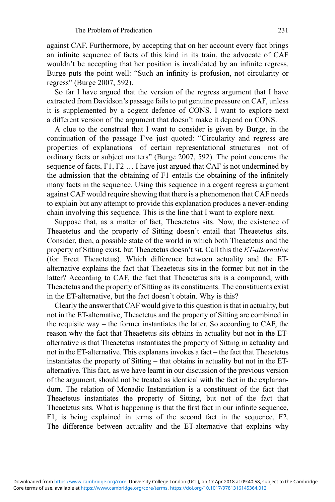against CAF. Furthermore, by accepting that on her account every fact brings an infinite sequence of facts of this kind in its train, the advocate of CAF wouldn't be accepting that her position is invalidated by an infinite regress. Burge puts the point well: "Such an infinity is profusion, not circularity or regress" (Burge 2007, 592).

So far I have argued that the version of the regress argument that I have extracted from Davidson's passage fails to put genuine pressure on CAF, unless it is supplemented by a cogent defence of CONS. I want to explore next a different version of the argument that doesn't make it depend on CONS.

A clue to the construal that I want to consider is given by Burge, in the continuation of the passage I've just quoted: "Circularity and regress are properties of explanations—of certain representational structures—not of ordinary facts or subject matters" (Burge 2007, 592). The point concerns the sequence of facts, F1, F2 … I have just argued that CAF is not undermined by the admission that the obtaining of F1 entails the obtaining of the infinitely many facts in the sequence. Using this sequence in a cogent regress argument against CAF would require showing that there is a phenomenon that CAF needs to explain but any attempt to provide this explanation produces a never-ending chain involving this sequence. This is the line that I want to explore next.

Suppose that, as a matter of fact, Theaetetus sits. Now, the existence of Theaetetus and the property of Sitting doesn't entail that Theaetetus sits. Consider, then, a possible state of the world in which both Theaetetus and the property of Sitting exist, but Theaetetus doesn't sit. Call this the ET-alternative (for Erect Theaetetus). Which difference between actuality and the ETalternative explains the fact that Theaetetus sits in the former but not in the latter? According to CAF, the fact that Theaetetus sits is a compound, with Theaetetus and the property of Sitting as its constituents. The constituents exist in the ET-alternative, but the fact doesn't obtain. Why is this?

Clearly the answer that CAF would give to this question is that in actuality, but not in the ET-alternative, Theaetetus and the property of Sitting are combined in the requisite way – the former instantiates the latter. So according to CAF, the reason why the fact that Theaetetus sits obtains in actuality but not in the ETalternative is that Theaetetus instantiates the property of Sitting in actuality and not in the ET-alternative. This explanans invokes a fact – the fact that Theaetetus instantiates the property of Sitting – that obtains in actuality but not in the ETalternative. This fact, as we have learnt in our discussion of the previous version of the argument, should not be treated as identical with the fact in the explanandum. The relation of Monadic Instantiation is a constituent of the fact that Theaetetus instantiates the property of Sitting, but not of the fact that Theaetetus sits. What is happening is that the first fact in our infinite sequence, F1, is being explained in terms of the second fact in the sequence, F2. The difference between actuality and the ET-alternative that explains why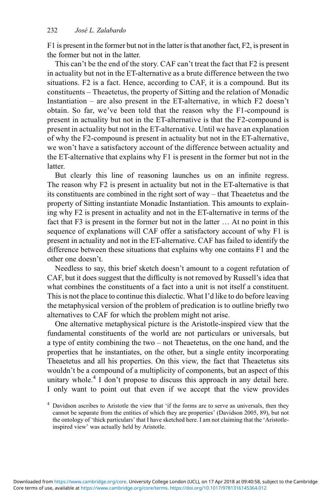F1 is present in the former but not in the latter is that another fact, F2, is present in the former but not in the latter.

This can't be the end of the story. CAF can't treat the fact that F2 is present in actuality but not in the ET-alternative as a brute difference between the two situations. F2 is a fact. Hence, according to CAF, it is a compound. But its constituents – Theaetetus, the property of Sitting and the relation of Monadic Instantiation – are also present in the ET-alternative, in which F2 doesn't obtain. So far, we've been told that the reason why the F1-compound is present in actuality but not in the ET-alternative is that the F2-compound is present in actuality but not in the ET-alternative. Until we have an explanation of why the F2-compound is present in actuality but not in the ET-alternative, we won't have a satisfactory account of the difference between actuality and the ET-alternative that explains why F1 is present in the former but not in the latter.

But clearly this line of reasoning launches us on an infinite regress. The reason why F2 is present in actuality but not in the ET-alternative is that its constituents are combined in the right sort of way – that Theaetetus and the property of Sitting instantiate Monadic Instantiation. This amounts to explaining why F2 is present in actuality and not in the ET-alternative in terms of the fact that F3 is present in the former but not in the latter … At no point in this sequence of explanations will CAF offer a satisfactory account of why F1 is present in actuality and not in the ET-alternative. CAF has failed to identify the difference between these situations that explains why one contains F1 and the other one doesn't.

Needless to say, this brief sketch doesn't amount to a cogent refutation of CAF, but it does suggest that the difficulty is not removed by Russell's idea that what combines the constituents of a fact into a unit is not itself a constituent. This is not the place to continue this dialectic. What I'd like to do before leaving the metaphysical version of the problem of predication is to outline briefly two alternatives to CAF for which the problem might not arise.

One alternative metaphysical picture is the Aristotle-inspired view that the fundamental constituents of the world are not particulars or universals, but a type of entity combining the two – not Theaetetus, on the one hand, and the properties that he instantiates, on the other, but a single entity incorporating Theaetetus and all his properties. On this view, the fact that Theaetetus sits wouldn't be a compound of a multiplicity of components, but an aspect of this unitary whole.<sup>4</sup> I don't propose to discuss this approach in any detail here. I only want to point out that even if we accept that the view provides

<sup>&</sup>lt;sup>4</sup> Davidson ascribes to Aristotle the view that 'if the forms are to serve as universals, then they cannot be separate from the entities of which they are properties' (Davidson 2005, 89), but not the ontology of 'thick particulars' that I have sketched here. I am not claiming that the 'Aristotleinspired view' was actually held by Aristotle.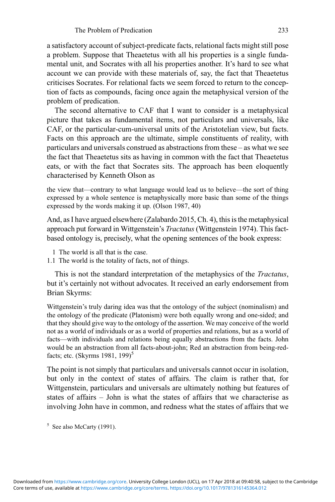a satisfactory account of subject-predicate facts, relational facts might still pose a problem. Suppose that Theaetetus with all his properties is a single fundamental unit, and Socrates with all his properties another. It's hard to see what account we can provide with these materials of, say, the fact that Theaetetus criticises Socrates. For relational facts we seem forced to return to the conception of facts as compounds, facing once again the metaphysical version of the problem of predication.

The second alternative to CAF that I want to consider is a metaphysical picture that takes as fundamental items, not particulars and universals, like CAF, or the particular-cum-universal units of the Aristotelian view, but facts. Facts on this approach are the ultimate, simple constituents of reality, with particulars and universals construed as abstractions from these – as what we see the fact that Theaetetus sits as having in common with the fact that Theaetetus eats, or with the fact that Socrates sits. The approach has been eloquently characterised by Kenneth Olson as

the view that—contrary to what language would lead us to believe—the sort of thing expressed by a whole sentence is metaphysically more basic than some of the things expressed by the words making it up. (Olson 1987, 40)

And, as I have argued elsewhere (Zalabardo 2015, Ch. 4), this is the metaphysical approach put forward in Wittgenstein's *Tractatus* (Wittgenstein 1974). This factbased ontology is, precisely, what the opening sentences of the book express:

- 1 The world is all that is the case.
- 1.1 The world is the totality of facts, not of things.

This is not the standard interpretation of the metaphysics of the Tractatus, but it's certainly not without advocates. It received an early endorsement from Brian Skyrms:

Wittgenstein's truly daring idea was that the ontology of the subject (nominalism) and the ontology of the predicate (Platonism) were both equally wrong and one-sided; and that they should give way to the ontology of the assertion. We may conceive of the world not as a world of individuals or as a world of properties and relations, but as a world of facts—with individuals and relations being equally abstractions from the facts. John would be an abstraction from all facts-about-john; Red an abstraction from being-redfacts; etc. (Skyrms 1981, 199)<sup>5</sup>

The point is not simply that particulars and universals cannot occur in isolation, but only in the context of states of affairs. The claim is rather that, for Wittgenstein, particulars and universals are ultimately nothing but features of states of affairs – John is what the states of affairs that we characterise as involving John have in common, and redness what the states of affairs that we

 $5$  See also McCarty (1991).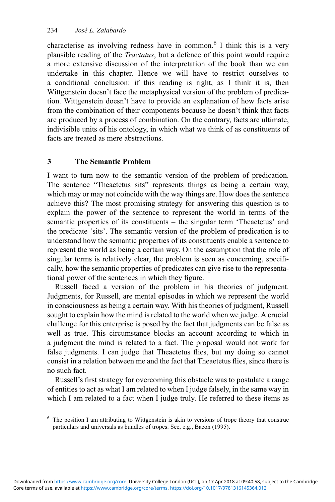characterise as involving redness have in common.<sup>6</sup> I think this is a very plausible reading of the Tractatus, but a defence of this point would require a more extensive discussion of the interpretation of the book than we can undertake in this chapter. Hence we will have to restrict ourselves to a conditional conclusion: if this reading is right, as I think it is, then Wittgenstein doesn't face the metaphysical version of the problem of predication. Wittgenstein doesn't have to provide an explanation of how facts arise from the combination of their components because he doesn't think that facts are produced by a process of combination. On the contrary, facts are ultimate, indivisible units of his ontology, in which what we think of as constituents of facts are treated as mere abstractions.

### 3 The Semantic Problem

I want to turn now to the semantic version of the problem of predication. The sentence "Theaetetus sits" represents things as being a certain way, which may or may not coincide with the way things are. How does the sentence achieve this? The most promising strategy for answering this question is to explain the power of the sentence to represent the world in terms of the semantic properties of its constituents – the singular term 'Theaetetus' and the predicate 'sits'. The semantic version of the problem of predication is to understand how the semantic properties of its constituents enable a sentence to represent the world as being a certain way. On the assumption that the role of singular terms is relatively clear, the problem is seen as concerning, specifically, how the semantic properties of predicates can give rise to the representational power of the sentences in which they figure.

Russell faced a version of the problem in his theories of judgment. Judgments, for Russell, are mental episodes in which we represent the world in consciousness as being a certain way. With his theories of judgment, Russell sought to explain how the mind is related to the world when we judge. A crucial challenge for this enterprise is posed by the fact that judgments can be false as well as true. This circumstance blocks an account according to which in a judgment the mind is related to a fact. The proposal would not work for false judgments. I can judge that Theaetetus flies, but my doing so cannot consist in a relation between me and the fact that Theaetetus flies, since there is no such fact.

Russell's first strategy for overcoming this obstacle was to postulate a range of entities to act as what I am related to when I judge falsely, in the same way in which I am related to a fact when I judge truly. He referred to these items as

<sup>&</sup>lt;sup>6</sup> The position I am attributing to Wittgenstein is akin to versions of trope theory that construe particulars and universals as bundles of tropes. See, e.g., Bacon (1995).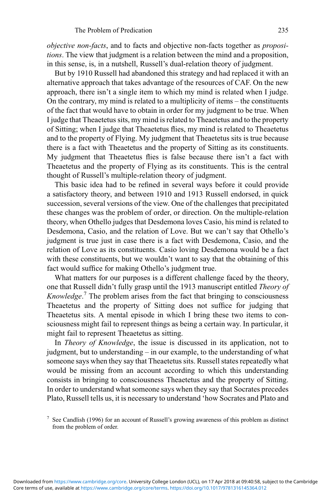objective non-facts, and to facts and objective non-facts together as propositions. The view that judgment is a relation between the mind and a proposition, in this sense, is, in a nutshell, Russell's dual-relation theory of judgment.

But by 1910 Russell had abandoned this strategy and had replaced it with an alternative approach that takes advantage of the resources of CAF. On the new approach, there isn't a single item to which my mind is related when I judge. On the contrary, my mind is related to a multiplicity of items – the constituents of the fact that would have to obtain in order for my judgment to be true. When I judge that Theaetetus sits, my mind is related to Theaetetus and to the property of Sitting; when I judge that Theaetetus flies, my mind is related to Theaetetus and to the property of Flying. My judgment that Theaetetus sits is true because there is a fact with Theaetetus and the property of Sitting as its constituents. My judgment that Theaetetus flies is false because there isn't a fact with Theaetetus and the property of Flying as its constituents. This is the central thought of Russell's multiple-relation theory of judgment.

This basic idea had to be refined in several ways before it could provide a satisfactory theory, and between 1910 and 1913 Russell endorsed, in quick succession, several versions of the view. One of the challenges that precipitated these changes was the problem of order, or direction. On the multiple-relation theory, when Othello judges that Desdemona loves Casio, his mind is related to Desdemona, Casio, and the relation of Love. But we can't say that Othello's judgment is true just in case there is a fact with Desdemona, Casio, and the relation of Love as its constituents. Casio loving Desdemona would be a fact with these constituents, but we wouldn't want to say that the obtaining of this fact would suffice for making Othello's judgment true.

What matters for our purposes is a different challenge faced by the theory, one that Russell didn't fully grasp until the 1913 manuscript entitled Theory of  $Knowledge.<sup>7</sup>$  The problem arises from the fact that bringing to consciousness Theaetetus and the property of Sitting does not suffice for judging that Theaetetus sits. A mental episode in which I bring these two items to consciousness might fail to represent things as being a certain way. In particular, it might fail to represent Theaetetus as sitting.

In *Theory of Knowledge*, the issue is discussed in its application, not to judgment, but to understanding – in our example, to the understanding of what someone says when they say that Theaetetus sits. Russell states repeatedly what would be missing from an account according to which this understanding consists in bringing to consciousness Theaetetus and the property of Sitting. In order to understand what someone says when they say that Socrates precedes Plato, Russell tells us, it is necessary to understand 'how Socrates and Plato and

<sup>&</sup>lt;sup>7</sup> See Candlish (1996) for an account of Russell's growing awareness of this problem as distinct from the problem of order.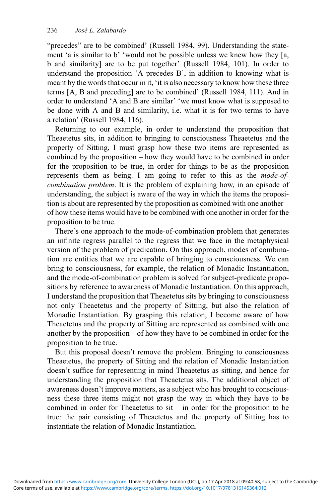"precedes" are to be combined' (Russell 1984, 99). Understanding the statement 'a is similar to b' 'would not be possible unless we knew how they [a, b and similarity] are to be put together' (Russell 1984, 101). In order to understand the proposition 'A precedes B', in addition to knowing what is meant by the words that occur in it, 'it is also necessary to know how these three terms [A, B and preceding] are to be combined' (Russell 1984, 111). And in order to understand 'A and B are similar' 'we must know what is supposed to be done with A and B and similarity, i.e. what it is for two terms to have a relation' (Russell 1984, 116).

Returning to our example, in order to understand the proposition that Theaetetus sits, in addition to bringing to consciousness Theaetetus and the property of Sitting, I must grasp how these two items are represented as combined by the proposition – how they would have to be combined in order for the proposition to be true, in order for things to be as the proposition represents them as being. I am going to refer to this as the mode-ofcombination problem. It is the problem of explaining how, in an episode of understanding, the subject is aware of the way in which the items the proposition is about are represented by the proposition as combined with one another – of how these items would have to be combined with one another in order for the proposition to be true.

There's one approach to the mode-of-combination problem that generates an infinite regress parallel to the regress that we face in the metaphysical version of the problem of predication. On this approach, modes of combination are entities that we are capable of bringing to consciousness. We can bring to consciousness, for example, the relation of Monadic Instantiation, and the mode-of-combination problem is solved for subject-predicate propositions by reference to awareness of Monadic Instantiation. On this approach, I understand the proposition that Theaetetus sits by bringing to consciousness not only Theaetetus and the property of Sitting, but also the relation of Monadic Instantiation. By grasping this relation, I become aware of how Theaetetus and the property of Sitting are represented as combined with one another by the proposition – of how they have to be combined in order for the proposition to be true.

But this proposal doesn't remove the problem. Bringing to consciousness Theaetetus, the property of Sitting and the relation of Monadic Instantiation doesn't suffice for representing in mind Theaetetus as sitting, and hence for understanding the proposition that Theaetetus sits. The additional object of awareness doesn't improve matters, as a subject who has brought to consciousness these three items might not grasp the way in which they have to be combined in order for Theaetetus to  $s$ it – in order for the proposition to be true: the pair consisting of Theaetetus and the property of Sitting has to instantiate the relation of Monadic Instantiation.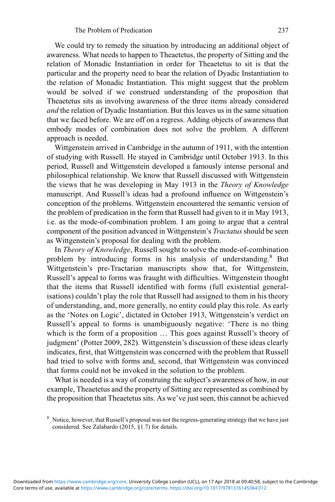We could try to remedy the situation by introducing an additional object of awareness. What needs to happen to Theaetetus, the property of Sitting and the relation of Monadic Instantiation in order for Theaetetus to sit is that the particular and the property need to bear the relation of Dyadic Instantiation to the relation of Monadic Instantiation. This might suggest that the problem would be solved if we construed understanding of the proposition that Theaetetus sits as involving awareness of the three items already considered and the relation of Dyadic Instantiation. But this leaves us in the same situation that we faced before. We are off on a regress. Adding objects of awareness that embody modes of combination does not solve the problem. A different approach is needed.

Wittgenstein arrived in Cambridge in the autumn of 1911, with the intention of studying with Russell. He stayed in Cambridge until October 1913. In this period, Russell and Wittgenstein developed a famously intense personal and philosophical relationship. We know that Russell discussed with Wittgenstein the views that he was developing in May 1913 in the Theory of Knowledge manuscript. And Russell's ideas had a profound influence on Wittgenstein's conception of the problems. Wittgenstein encountered the semantic version of the problem of predication in the form that Russell had given to it in May 1913, i.e. as the mode-of-combination problem. I am going to argue that a central component of the position advanced in Wittgenstein's Tractatus should be seen as Wittgenstein's proposal for dealing with the problem.

In Theory of Knowledge, Russell sought to solve the mode-of-combination problem by introducing forms in his analysis of understanding.<sup>8</sup> But Wittgenstein's pre-Tractarian manuscripts show that, for Wittgenstein, Russell's appeal to forms was fraught with difficulties. Wittgenstein thought that the items that Russell identified with forms (full existential generalisations) couldn't play the role that Russell had assigned to them in his theory of understanding, and, more generally, no entity could play this role. As early as the 'Notes on Logic', dictated in October 1913, Wittgenstein's verdict on Russell's appeal to forms is unambiguously negative: 'There is no thing which is the form of a proposition ... This goes against Russell's theory of judgment' (Potter 2009, 282). Wittgenstein's discussion of these ideas clearly indicates, first, that Wittgenstein was concerned with the problem that Russell had tried to solve with forms and, second, that Wittgenstein was convinced that forms could not be invoked in the solution to the problem.

What is needed is a way of construing the subject's awareness of how, in our example, Theaetetus and the property of Sitting are represented as combined by the proposition that Theaetetus sits. As we've just seen, this cannot be achieved

<sup>&</sup>lt;sup>8</sup> Notice, however, that Russell's proposal was not the regress-generating strategy that we have just considered. See Zalabardo (2015, §1.7) for details.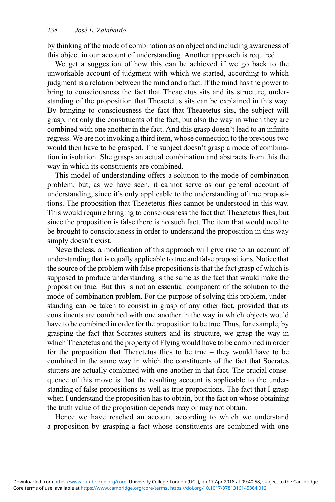by thinking of the mode of combination as an object and including awareness of this object in our account of understanding. Another approach is required.

We get a suggestion of how this can be achieved if we go back to the unworkable account of judgment with which we started, according to which judgment is a relation between the mind and a fact. If the mind has the power to bring to consciousness the fact that Theaetetus sits and its structure, understanding of the proposition that Theaetetus sits can be explained in this way. By bringing to consciousness the fact that Theaetetus sits, the subject will grasp, not only the constituents of the fact, but also the way in which they are combined with one another in the fact. And this grasp doesn't lead to an infinite regress. We are not invoking a third item, whose connection to the previous two would then have to be grasped. The subject doesn't grasp a mode of combination in isolation. She grasps an actual combination and abstracts from this the way in which its constituents are combined.

This model of understanding offers a solution to the mode-of-combination problem, but, as we have seen, it cannot serve as our general account of understanding, since it's only applicable to the understanding of true propositions. The proposition that Theaetetus flies cannot be understood in this way. This would require bringing to consciousness the fact that Theaetetus flies, but since the proposition is false there is no such fact. The item that would need to be brought to consciousness in order to understand the proposition in this way simply doesn't exist.

Nevertheless, a modification of this approach will give rise to an account of understanding that is equally applicable to true and false propositions. Notice that the source of the problem with false propositions is that the fact grasp of which is supposed to produce understanding is the same as the fact that would make the proposition true. But this is not an essential component of the solution to the mode-of-combination problem. For the purpose of solving this problem, understanding can be taken to consist in grasp of any other fact, provided that its constituents are combined with one another in the way in which objects would have to be combined in order for the proposition to be true. Thus, for example, by grasping the fact that Socrates stutters and its structure, we grasp the way in which Theaetetus and the property of Flying would have to be combined in order for the proposition that Theaetetus flies to be true  $-$  they would have to be combined in the same way in which the constituents of the fact that Socrates stutters are actually combined with one another in that fact. The crucial consequence of this move is that the resulting account is applicable to the understanding of false propositions as well as true propositions. The fact that I grasp when I understand the proposition has to obtain, but the fact on whose obtaining the truth value of the proposition depends may or may not obtain.

Hence we have reached an account according to which we understand a proposition by grasping a fact whose constituents are combined with one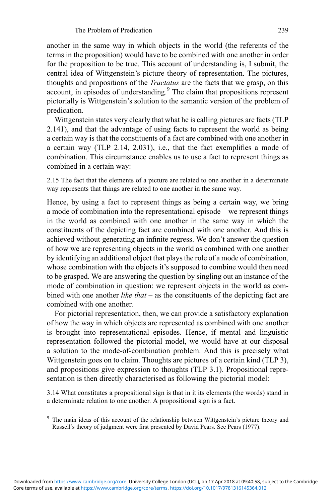another in the same way in which objects in the world (the referents of the terms in the proposition) would have to be combined with one another in order for the proposition to be true. This account of understanding is, I submit, the central idea of Wittgenstein's picture theory of representation. The pictures, thoughts and propositions of the *Tractatus* are the facts that we grasp, on this account, in episodes of understanding.<sup>9</sup> The claim that propositions represent pictorially is Wittgenstein's solution to the semantic version of the problem of predication.

Wittgenstein states very clearly that what he is calling pictures are facts (TLP 2.141), and that the advantage of using facts to represent the world as being a certain way is that the constituents of a fact are combined with one another in a certain way (TLP 2.14, 2.031), i.e., that the fact exemplifies a mode of combination. This circumstance enables us to use a fact to represent things as combined in a certain way:

2.15 The fact that the elements of a picture are related to one another in a determinate way represents that things are related to one another in the same way.

Hence, by using a fact to represent things as being a certain way, we bring a mode of combination into the representational episode – we represent things in the world as combined with one another in the same way in which the constituents of the depicting fact are combined with one another. And this is achieved without generating an infinite regress. We don't answer the question of how we are representing objects in the world as combined with one another by identifying an additional object that plays the role of a mode of combination, whose combination with the objects it's supposed to combine would then need to be grasped. We are answering the question by singling out an instance of the mode of combination in question: we represent objects in the world as combined with one another *like that* – as the constituents of the depicting fact are combined with one another.

For pictorial representation, then, we can provide a satisfactory explanation of how the way in which objects are represented as combined with one another is brought into representational episodes. Hence, if mental and linguistic representation followed the pictorial model, we would have at our disposal a solution to the mode-of-combination problem. And this is precisely what Wittgenstein goes on to claim. Thoughts are pictures of a certain kind (TLP 3), and propositions give expression to thoughts (TLP 3.1). Propositional representation is then directly characterised as following the pictorial model:

3.14 What constitutes a propositional sign is that in it its elements (the words) stand in a determinate relation to one another. A propositional sign is a fact.

<sup>9</sup> The main ideas of this account of the relationship between Wittgenstein's picture theory and Russell's theory of judgment were first presented by David Pears. See Pears (1977).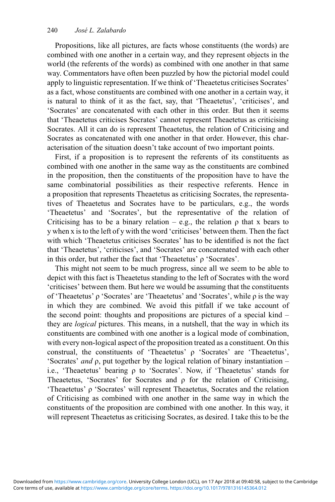Propositions, like all pictures, are facts whose constituents (the words) are combined with one another in a certain way, and they represent objects in the world (the referents of the words) as combined with one another in that same way. Commentators have often been puzzled by how the pictorial model could apply to linguistic representation. If we think of 'Theaetetus criticises Socrates' as a fact, whose constituents are combined with one another in a certain way, it is natural to think of it as the fact, say, that 'Theaetetus', 'criticises', and 'Socrates' are concatenated with each other in this order. But then it seems that 'Theaetetus criticises Socrates' cannot represent Theaetetus as criticising Socrates. All it can do is represent Theaetetus, the relation of Criticising and Socrates as concatenated with one another in that order. However, this characterisation of the situation doesn't take account of two important points.

First, if a proposition is to represent the referents of its constituents as combined with one another in the same way as the constituents are combined in the proposition, then the constituents of the proposition have to have the same combinatorial possibilities as their respective referents. Hence in a proposition that represents Theaetetus as criticising Socrates, the representatives of Theaetetus and Socrates have to be particulars, e.g., the words 'Theaetetus' and 'Socrates', but the representative of the relation of Criticising has to be a binary relation – e.g., the relation  $\rho$  that x bears to y when x is to the left of y with the word 'criticises' between them. Then the fact with which 'Theaetetus criticises Socrates' has to be identified is not the fact that 'Theaetetus', 'criticises', and 'Socrates' are concatenated with each other in this order, but rather the fact that 'Theaetetus' ρ 'Socrates'.

This might not seem to be much progress, since all we seem to be able to depict with this fact is Theaetetus standing to the left of Socrates with the word 'criticises' between them. But here we would be assuming that the constituents of 'Theaetetus' ρ 'Socrates' are 'Theaetetus' and 'Socrates', while ρ is the way in which they are combined. We avoid this pitfall if we take account of the second point: thoughts and propositions are pictures of a special kind – they are logical pictures. This means, in a nutshell, that the way in which its constituents are combined with one another is a logical mode of combination, with every non-logical aspect of the proposition treated as a constituent. On this construal, the constituents of 'Theaetetus' ρ 'Socrates' are 'Theaetetus', 'Socrates' and  $\rho$ , put together by the logical relation of binary instantiation – i.e., 'Theaetetus' bearing ρ to 'Socrates'. Now, if 'Theaetetus' stands for Theaetetus, 'Socrates' for Socrates and ρ for the relation of Criticising, 'Theaetetus' ρ 'Socrates' will represent Theaetetus, Socrates and the relation of Criticising as combined with one another in the same way in which the constituents of the proposition are combined with one another. In this way, it will represent Theaetetus as criticising Socrates, as desired. I take this to be the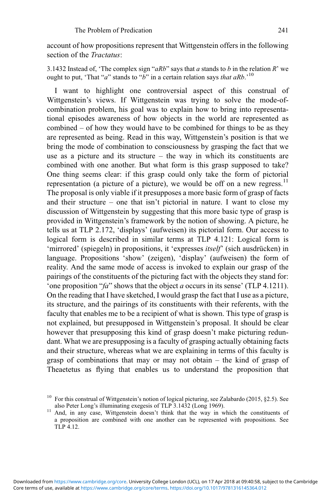account of how propositions represent that Wittgenstein offers in the following section of the *Tractatus*:

3.1432 Instead of, 'The complex sign " $aRb$ " says that a stands to b in the relation R' we ought to put, 'That "*a*" stands to "*b*" in a certain relation says that aRb.<sup>10</sup>

I want to highlight one controversial aspect of this construal of Wittgenstein's views. If Wittgenstein was trying to solve the mode-ofcombination problem, his goal was to explain how to bring into representational episodes awareness of how objects in the world are represented as combined – of how they would have to be combined for things to be as they are represented as being. Read in this way, Wittgenstein's position is that we bring the mode of combination to consciousness by grasping the fact that we use as a picture and its structure – the way in which its constituents are combined with one another. But what form is this grasp supposed to take? One thing seems clear: if this grasp could only take the form of pictorial representation (a picture of a picture), we would be off on a new regress.<sup>11</sup> The proposal is only viable if it presupposes a more basic form of grasp of facts and their structure – one that isn't pictorial in nature. I want to close my discussion of Wittgenstein by suggesting that this more basic type of grasp is provided in Wittgenstein's framework by the notion of showing. A picture, he tells us at TLP 2.172, 'displays' (aufweisen) its pictorial form. Our access to logical form is described in similar terms at TLP 4.121: Logical form is 'mirrored' (spiegeln) in propositions, it 'expresses *itself*' (sich ausdrücken) in language. Propositions 'show' (zeigen), 'display' (aufweisen) the form of reality. And the same mode of access is invoked to explain our grasp of the pairings of the constituents of the picturing fact with the objects they stand for: 'one proposition " $fa$ " shows that the object a occurs in its sense' (TLP 4.1211). On the reading that I have sketched, I would grasp the fact that I use as a picture, its structure, and the pairings of its constituents with their referents, with the faculty that enables me to be a recipient of what is shown. This type of grasp is not explained, but presupposed in Wittgenstein's proposal. It should be clear however that presupposing this kind of grasp doesn't make picturing redundant. What we are presupposing is a faculty of grasping actually obtaining facts and their structure, whereas what we are explaining in terms of this faculty is grasp of combinations that may or may not obtain – the kind of grasp of Theaetetus as flying that enables us to understand the proposition that

<sup>&</sup>lt;sup>10</sup> For this construal of Wittgenstein's notion of logical picturing, see Zalabardo (2015, §2.5). See also Peter Long's illuminating exegesis of TLP 3.1432 (Long 1969).

<sup>&</sup>lt;sup>11</sup> And, in any case, Wittgenstein doesn't think that the way in which the constituents of a proposition are combined with one another can be represented with propositions. See TLP 4.12.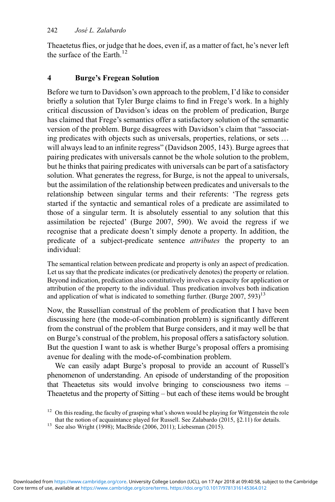Theaetetus flies, or judge that he does, even if, as a matter of fact, he's never left the surface of the Earth. $12$ 

### 4 Burge's Fregean Solution

Before we turn to Davidson's own approach to the problem, I'd like to consider briefly a solution that Tyler Burge claims to find in Frege's work. In a highly critical discussion of Davidson's ideas on the problem of predication, Burge has claimed that Frege's semantics offer a satisfactory solution of the semantic version of the problem. Burge disagrees with Davidson's claim that "associating predicates with objects such as universals, properties, relations, or sets … will always lead to an infinite regress" (Davidson 2005, 143). Burge agrees that pairing predicates with universals cannot be the whole solution to the problem, but he thinks that pairing predicates with universals can be part of a satisfactory solution. What generates the regress, for Burge, is not the appeal to universals, but the assimilation of the relationship between predicates and universals to the relationship between singular terms and their referents: 'The regress gets started if the syntactic and semantical roles of a predicate are assimilated to those of a singular term. It is absolutely essential to any solution that this assimilation be rejected' (Burge 2007, 590). We avoid the regress if we recognise that a predicate doesn't simply denote a property. In addition, the predicate of a subject-predicate sentence attributes the property to an individual:

The semantical relation between predicate and property is only an aspect of predication. Let us say that the predicate indicates (or predicatively denotes) the property or relation. Beyond indication, predication also constitutively involves a capacity for application or attribution of the property to the individual. Thus predication involves both indication and application of what is indicated to something further. (Burge  $2007, 593$ )<sup>13</sup>

Now, the Russellian construal of the problem of predication that I have been discussing here (the mode-of-combination problem) is significantly different from the construal of the problem that Burge considers, and it may well be that on Burge's construal of the problem, his proposal offers a satisfactory solution. But the question I want to ask is whether Burge's proposal offers a promising avenue for dealing with the mode-of-combination problem.

We can easily adapt Burge's proposal to provide an account of Russell's phenomenon of understanding. An episode of understanding of the proposition that Theaetetus sits would involve bringing to consciousness two items – Theaetetus and the property of Sitting – but each of these items would be brought

<sup>&</sup>lt;sup>12</sup> On this reading, the faculty of grasping what's shown would be playing for Wittgenstein the role that the notion of acquaintance played for Russell. See Zalabardo (2015,  $\S$ 2.11) for details.

<sup>&</sup>lt;sup>13</sup> See also Wright (1998); MacBride (2006, 2011); Liebesman (2015).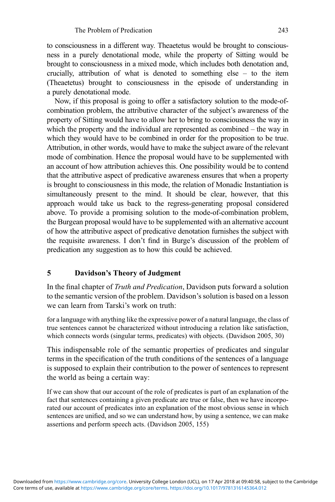to consciousness in a different way. Theaetetus would be brought to consciousness in a purely denotational mode, while the property of Sitting would be brought to consciousness in a mixed mode, which includes both denotation and, crucially, attribution of what is denoted to something else – to the item (Theaetetus) brought to consciousness in the episode of understanding in a purely denotational mode.

Now, if this proposal is going to offer a satisfactory solution to the mode-ofcombination problem, the attributive character of the subject's awareness of the property of Sitting would have to allow her to bring to consciousness the way in which the property and the individual are represented as combined – the way in which they would have to be combined in order for the proposition to be true. Attribution, in other words, would have to make the subject aware of the relevant mode of combination. Hence the proposal would have to be supplemented with an account of how attribution achieves this. One possibility would be to contend that the attributive aspect of predicative awareness ensures that when a property is brought to consciousness in this mode, the relation of Monadic Instantiation is simultaneously present to the mind. It should be clear, however, that this approach would take us back to the regress-generating proposal considered above. To provide a promising solution to the mode-of-combination problem, the Burgean proposal would have to be supplemented with an alternative account of how the attributive aspect of predicative denotation furnishes the subject with the requisite awareness. I don't find in Burge's discussion of the problem of predication any suggestion as to how this could be achieved.

### 5 Davidson's Theory of Judgment

In the final chapter of Truth and Predication, Davidson puts forward a solution to the semantic version of the problem. Davidson's solution is based on a lesson we can learn from Tarski's work on truth:

for a language with anything like the expressive power of a natural language, the class of true sentences cannot be characterized without introducing a relation like satisfaction, which connects words (singular terms, predicates) with objects. (Davidson 2005, 30)

This indispensable role of the semantic properties of predicates and singular terms in the specification of the truth conditions of the sentences of a language is supposed to explain their contribution to the power of sentences to represent the world as being a certain way:

If we can show that our account of the role of predicates is part of an explanation of the fact that sentences containing a given predicate are true or false, then we have incorporated our account of predicates into an explanation of the most obvious sense in which sentences are unified, and so we can understand how, by using a sentence, we can make assertions and perform speech acts. (Davidson 2005, 155)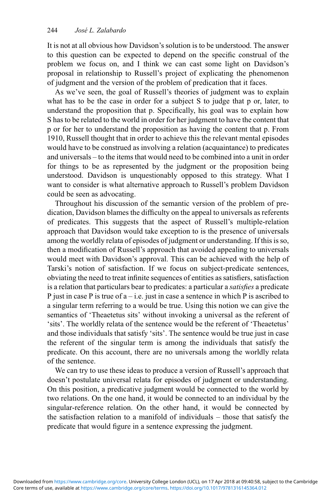It is not at all obvious how Davidson's solution is to be understood. The answer to this question can be expected to depend on the specific construal of the problem we focus on, and I think we can cast some light on Davidson's proposal in relationship to Russell's project of explicating the phenomenon of judgment and the version of the problem of predication that it faces.

As we've seen, the goal of Russell's theories of judgment was to explain what has to be the case in order for a subject S to judge that p or, later, to understand the proposition that p. Specifically, his goal was to explain how S has to be related to the world in order for her judgment to have the content that p or for her to understand the proposition as having the content that p. From 1910, Russell thought that in order to achieve this the relevant mental episodes would have to be construed as involving a relation (acquaintance) to predicates and universals – to the items that would need to be combined into a unit in order for things to be as represented by the judgment or the proposition being understood. Davidson is unquestionably opposed to this strategy. What I want to consider is what alternative approach to Russell's problem Davidson could be seen as advocating.

Throughout his discussion of the semantic version of the problem of predication, Davidson blames the difficulty on the appeal to universals as referents of predicates. This suggests that the aspect of Russell's multiple-relation approach that Davidson would take exception to is the presence of universals among the worldly relata of episodes of judgment or understanding. If this is so, then a modification of Russell's approach that avoided appealing to universals would meet with Davidson's approval. This can be achieved with the help of Tarski's notion of satisfaction. If we focus on subject-predicate sentences, obviating the need to treat infinite sequences of entities as satisfiers, satisfaction is a relation that particulars bear to predicates: a particular a satisfies a predicate P just in case P is true of  $a - i.e.$  just in case a sentence in which P is ascribed to a singular term referring to a would be true. Using this notion we can give the semantics of 'Theaetetus sits' without invoking a universal as the referent of 'sits'. The worldly relata of the sentence would be the referent of 'Theaetetus' and those individuals that satisfy 'sits'. The sentence would be true just in case the referent of the singular term is among the individuals that satisfy the predicate. On this account, there are no universals among the worldly relata of the sentence.

We can try to use these ideas to produce a version of Russell's approach that doesn't postulate universal relata for episodes of judgment or understanding. On this position, a predicative judgment would be connected to the world by two relations. On the one hand, it would be connected to an individual by the singular-reference relation. On the other hand, it would be connected by the satisfaction relation to a manifold of individuals – those that satisfy the predicate that would figure in a sentence expressing the judgment.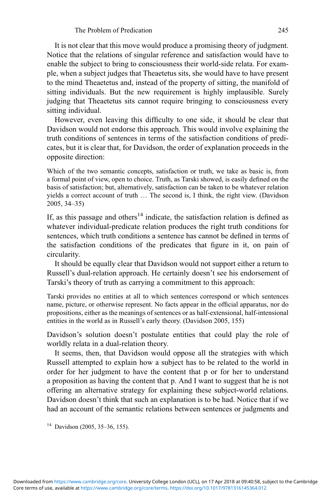It is not clear that this move would produce a promising theory of judgment. Notice that the relations of singular reference and satisfaction would have to enable the subject to bring to consciousness their world-side relata. For example, when a subject judges that Theaetetus sits, she would have to have present to the mind Theaetetus and, instead of the property of sitting, the manifold of sitting individuals. But the new requirement is highly implausible. Surely judging that Theaetetus sits cannot require bringing to consciousness every sitting individual.

However, even leaving this difficulty to one side, it should be clear that Davidson would not endorse this approach. This would involve explaining the truth conditions of sentences in terms of the satisfaction conditions of predicates, but it is clear that, for Davidson, the order of explanation proceeds in the opposite direction:

Which of the two semantic concepts, satisfaction or truth, we take as basic is, from a formal point of view, open to choice. Truth, as Tarski showed, is easily defined on the basis of satisfaction; but, alternatively, satisfaction can be taken to be whatever relation yields a correct account of truth … The second is, I think, the right view. (Davidson 2005, 34–35)

If, as this passage and others<sup>14</sup> indicate, the satisfaction relation is defined as whatever individual-predicate relation produces the right truth conditions for sentences, which truth conditions a sentence has cannot be defined in terms of the satisfaction conditions of the predicates that figure in it, on pain of circularity.

It should be equally clear that Davidson would not support either a return to Russell's dual-relation approach. He certainly doesn't see his endorsement of Tarski's theory of truth as carrying a commitment to this approach:

Tarski provides no entities at all to which sentences correspond or which sentences name, picture, or otherwise represent. No facts appear in the official apparatus, nor do propositions, either as the meanings of sentences or as half-extensional, half-intensional entities in the world as in Russell's early theory. (Davidson 2005, 155)

Davidson's solution doesn't postulate entities that could play the role of worldly relata in a dual-relation theory.

It seems, then, that Davidson would oppose all the strategies with which Russell attempted to explain how a subject has to be related to the world in order for her judgment to have the content that p or for her to understand a proposition as having the content that p. And I want to suggest that he is not offering an alternative strategy for explaining these subject-world relations. Davidson doesn't think that such an explanation is to be had. Notice that if we had an account of the semantic relations between sentences or judgments and

<sup>14</sup> Davidson (2005, 35–36, 155).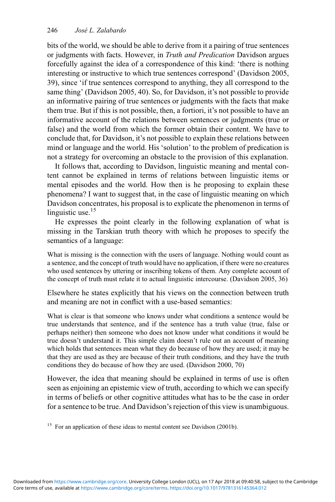bits of the world, we should be able to derive from it a pairing of true sentences or judgments with facts. However, in Truth and Predication Davidson argues forcefully against the idea of a correspondence of this kind: 'there is nothing interesting or instructive to which true sentences correspond' (Davidson 2005, 39), since 'if true sentences correspond to anything, they all correspond to the same thing' (Davidson 2005, 40). So, for Davidson, it's not possible to provide an informative pairing of true sentences or judgments with the facts that make them true. But if this is not possible, then, a fortiori, it's not possible to have an informative account of the relations between sentences or judgments (true or false) and the world from which the former obtain their content. We have to conclude that, for Davidson, it's not possible to explain these relations between mind or language and the world. His 'solution' to the problem of predication is not a strategy for overcoming an obstacle to the provision of this explanation.

It follows that, according to Davidson, linguistic meaning and mental content cannot be explained in terms of relations between linguistic items or mental episodes and the world. How then is he proposing to explain these phenomena? I want to suggest that, in the case of linguistic meaning on which Davidson concentrates, his proposal is to explicate the phenomenon in terms of linguistic use.<sup>15</sup>

He expresses the point clearly in the following explanation of what is missing in the Tarskian truth theory with which he proposes to specify the semantics of a language:

What is missing is the connection with the users of language. Nothing would count as a sentence, and the concept of truth would have no application, if there were no creatures who used sentences by uttering or inscribing tokens of them. Any complete account of the concept of truth must relate it to actual linguistic intercourse. (Davidson 2005, 36)

Elsewhere he states explicitly that his views on the connection between truth and meaning are not in conflict with a use-based semantics:

What is clear is that someone who knows under what conditions a sentence would be true understands that sentence, and if the sentence has a truth value (true, false or perhaps neither) then someone who does not know under what conditions it would be true doesn't understand it. This simple claim doesn't rule out an account of meaning which holds that sentences mean what they do because of how they are used; it may be that they are used as they are because of their truth conditions, and they have the truth conditions they do because of how they are used. (Davidson 2000, 70)

However, the idea that meaning should be explained in terms of use is often seen as enjoining an epistemic view of truth, according to which we can specify in terms of beliefs or other cognitive attitudes what has to be the case in order for a sentence to be true. And Davidson's rejection of this view is unambiguous.

<sup>&</sup>lt;sup>15</sup> For an application of these ideas to mental content see Davidson (2001b).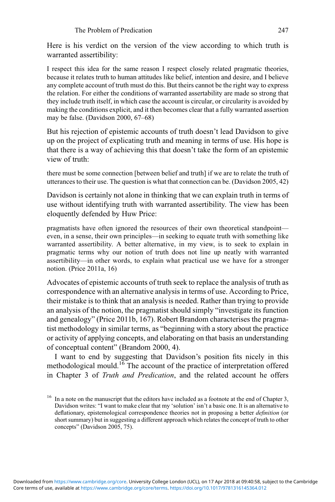Here is his verdict on the version of the view according to which truth is warranted assertibility:

I respect this idea for the same reason I respect closely related pragmatic theories, because it relates truth to human attitudes like belief, intention and desire, and I believe any complete account of truth must do this. But theirs cannot be the right way to express the relation. For either the conditions of warranted assertability are made so strong that they include truth itself, in which case the account is circular, or circularity is avoided by making the conditions explicit, and it then becomes clear that a fully warranted assertion may be false. (Davidson 2000, 67–68)

But his rejection of epistemic accounts of truth doesn't lead Davidson to give up on the project of explicating truth and meaning in terms of use. His hope is that there is a way of achieving this that doesn't take the form of an epistemic view of truth:

there must be some connection [between belief and truth] if we are to relate the truth of utterances to their use. The question is what that connection can be. (Davidson 2005, 42)

Davidson is certainly not alone in thinking that we can explain truth in terms of use without identifying truth with warranted assertibility. The view has been eloquently defended by Huw Price:

pragmatists have often ignored the resources of their own theoretical standpoint even, in a sense, their own principles—in seeking to equate truth with something like warranted assertibility. A better alternative, in my view, is to seek to explain in pragmatic terms why our notion of truth does not line up neatly with warranted assertibility—in other words, to explain what practical use we have for a stronger notion. (Price 2011a, 16)

Advocates of epistemic accounts of truth seek to replace the analysis of truth as correspondence with an alternative analysis in terms of use. According to Price, their mistake is to think that an analysis is needed. Rather than trying to provide an analysis of the notion, the pragmatist should simply "investigate its function and genealogy" (Price 2011b, 167). Robert Brandom characterises the pragmatist methodology in similar terms, as "beginning with a story about the practice or activity of applying concepts, and elaborating on that basis an understanding of conceptual content" (Brandom 2000, 4).

I want to end by suggesting that Davidson's position fits nicely in this methodological mould.<sup>16</sup> The account of the practice of interpretation offered in Chapter 3 of Truth and Predication, and the related account he offers

<sup>&</sup>lt;sup>16</sup> In a note on the manuscript that the editors have included as a footnote at the end of Chapter 3, Davidson writes: "I want to make clear that my 'solution' isn't a basic one. It is an alternative to deflationary, epistemological correspondence theories not in proposing a better *definition* (or short summary) but in suggesting a different approach which relates the concept of truth to other concepts" (Davidson 2005, 75).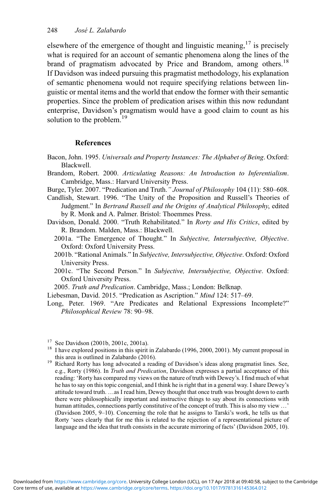elsewhere of the emergence of thought and linguistic meaning, $17$  is precisely what is required for an account of semantic phenomena along the lines of the brand of pragmatism advocated by Price and Brandom, among others.<sup>18</sup> If Davidson was indeed pursuing this pragmatist methodology, his explanation of semantic phenomena would not require specifying relations between linguistic or mental items and the world that endow the former with their semantic properties. Since the problem of predication arises within this now redundant enterprise, Davidson's pragmatism would have a good claim to count as his solution to the problem.<sup>19</sup>

#### **References**

- Bacon, John. 1995. Universals and Property Instances: The Alphabet of Being. Oxford: Blackwell.
- Brandom, Robert. 2000. Articulating Reasons: An Introduction to Inferentialism. Cambridge, Mass.: Harvard University Press.
- Burge, Tyler. 2007. "Predication and Truth." Journal of Philosophy 104 (11): 580–608.
- Candlish, Stewart. 1996. "The Unity of the Proposition and Russell's Theories of Judgment." In Bertrand Russell and the Origins of Analytical Philosophy, edited by R. Monk and A. Palmer. Bristol: Thoemmes Press.
- Davidson, Donald. 2000. "Truth Rehabilitated." In Rorty and His Critics, edited by R. Brandom. Malden, Mass.: Blackwell.
	- 2001a. "The Emergence of Thought." In Subjective, Intersubjective, Objective. Oxford: Oxford University Press.
	- 2001b. "Rational Animals." In Subjective, Intersubjective, Objective. Oxford: Oxford University Press.
	- 2001c. "The Second Person." In Subjective, Intersubjective, Objective. Oxford: Oxford University Press.
	- 2005. Truth and Predication. Cambridge, Mass.; London: Belknap.
- Liebesman, David. 2015. "Predication as Ascription." Mind 124: 517–69.
- Long, Peter. 1969. "Are Predicates and Relational Expressions Incomplete?" Philosophical Review 78: 90–98.

- <sup>17</sup> See Davidson (2001b, 2001c, 2001a).<br><sup>18</sup> I have explored positions in this spirit in Zalabardo (1996, 2000, 2001). My current proposal in this area is outlined in Zalabardo (2016).
- <sup>19</sup> Richard Rorty has long advocated a reading of Davidson's ideas along pragmatist lines. See, e.g., Rorty (1986). In Truth and Predication, Davidson expresses a partial acceptance of this reading: 'Rorty has compared my views on the nature of truth with Dewey's. I find much of what he has to say on this topic congenial, and I think he is right that in a general way. I share Dewey's attitude toward truth. …as I read him, Dewey thought that once truth was brought down to earth there were philosophically important and instructive things to say about its connections with human attitudes, connections partly constitutive of the concept of truth. This is also my view ...' (Davidson 2005, 9–10). Concerning the role that he assigns to Tarski's work, he tells us that Rorty 'sees clearly that for me this is related to the rejection of a representational picture of language and the idea that truth consists in the accurate mirroring of facts' (Davidson 2005, 10).